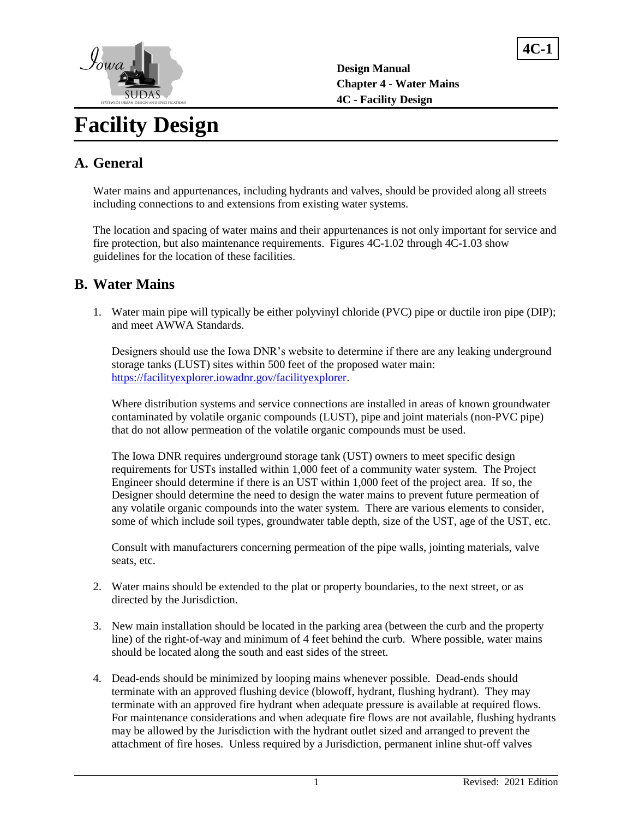



# **Facility Design**

# **A. General**

Water mains and appurtenances, including hydrants and valves, should be provided along all streets including connections to and extensions from existing water systems.

The location and spacing of water mains and their appurtenances is not only important for service and fire protection, but also maintenance requirements. Figures 4C-1.02 through 4C-1.03 show guidelines for the location of these facilities.

#### **B. Water Mains**

1. Water main pipe will typically be either polyvinyl chloride (PVC) pipe or ductile iron pipe (DIP); and meet AWWA Standards.

Designers should use the Iowa DNR's website to determine if there are any leaking underground storage tanks (LUST) sites within 500 feet of the proposed water main: [https://facilityexplorer.iowadnr.gov/facilityexplorer.](https://facilityexplorer.iowadnr.gov/facilityexplorer)

Where distribution systems and service connections are installed in areas of known groundwater contaminated by volatile organic compounds (LUST), pipe and joint materials (non-PVC pipe) that do not allow permeation of the volatile organic compounds must be used.

The Iowa DNR requires underground storage tank (UST) owners to meet specific design requirements for USTs installed within 1,000 feet of a community water system. The Project Engineer should determine if there is an UST within 1,000 feet of the project area. If so, the Designer should determine the need to design the water mains to prevent future permeation of any volatile organic compounds into the water system. There are various elements to consider, some of which include soil types, groundwater table depth, size of the UST, age of the UST, etc.

Consult with manufacturers concerning permeation of the pipe walls, jointing materials, valve seats, etc.

- 2. Water mains should be extended to the plat or property boundaries, to the next street, or as directed by the Jurisdiction.
- 3. New main installation should be located in the parking area (between the curb and the property line) of the right-of-way and minimum of 4 feet behind the curb. Where possible, water mains should be located along the south and east sides of the street.
- 4. Dead-ends should be minimized by looping mains whenever possible. Dead-ends should terminate with an approved flushing device (blowoff, hydrant, flushing hydrant). They may terminate with an approved fire hydrant when adequate pressure is available at required flows. For maintenance considerations and when adequate fire flows are not available, flushing hydrants may be allowed by the Jurisdiction with the hydrant outlet sized and arranged to prevent the attachment of fire hoses. Unless required by a Jurisdiction, permanent inline shut-off valves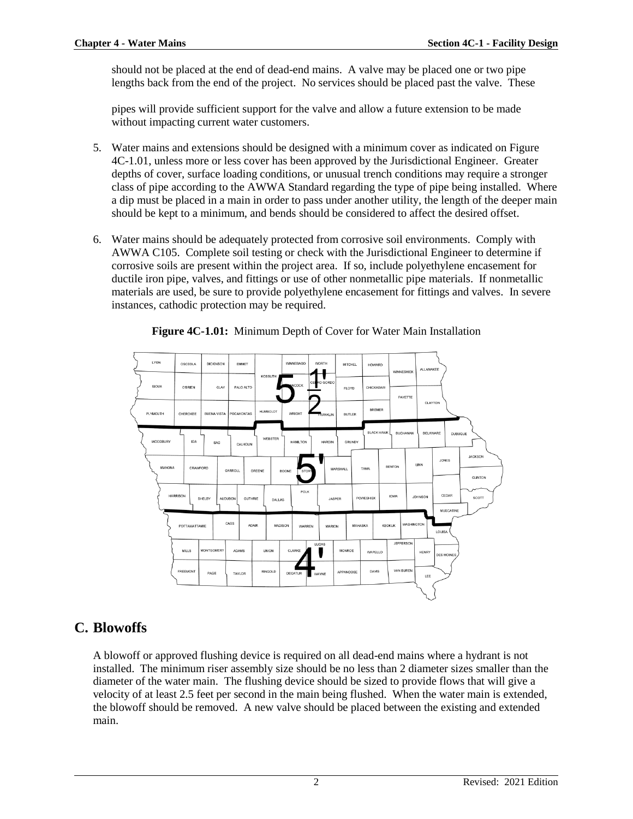should not be placed at the end of dead-end mains. A valve may be placed one or two pipe lengths back from the end of the project. No services should be placed past the valve. These

pipes will provide sufficient support for the valve and allow a future extension to be made without impacting current water customers.

- 5. Water mains and extensions should be designed with a minimum cover as indicated on Figure 4C-1.01, unless more or less cover has been approved by the Jurisdictional Engineer. Greater depths of cover, surface loading conditions, or unusual trench conditions may require a stronger class of pipe according to the AWWA Standard regarding the type of pipe being installed. Where a dip must be placed in a main in order to pass under another utility, the length of the deeper main should be kept to a minimum, and bends should be considered to affect the desired offset.
- 6. Water mains should be adequately protected from corrosive soil environments. Comply with AWWA C105. Complete soil testing or check with the Jurisdictional Engineer to determine if corrosive soils are present within the project area. If so, include polyethylene encasement for ductile iron pipe, valves, and fittings or use of other nonmetallic pipe materials. If nonmetallic materials are used, be sure to provide polyethylene encasement for fittings and valves. In severe instances, cathodic protection may be required.



**Figure 4C-1.01:** Minimum Depth of Cover for Water Main Installation

## **C. Blowoffs**

A blowoff or approved flushing device is required on all dead-end mains where a hydrant is not installed. The minimum riser assembly size should be no less than 2 diameter sizes smaller than the diameter of the water main. The flushing device should be sized to provide flows that will give a velocity of at least 2.5 feet per second in the main being flushed. When the water main is extended, the blowoff should be removed. A new valve should be placed between the existing and extended main.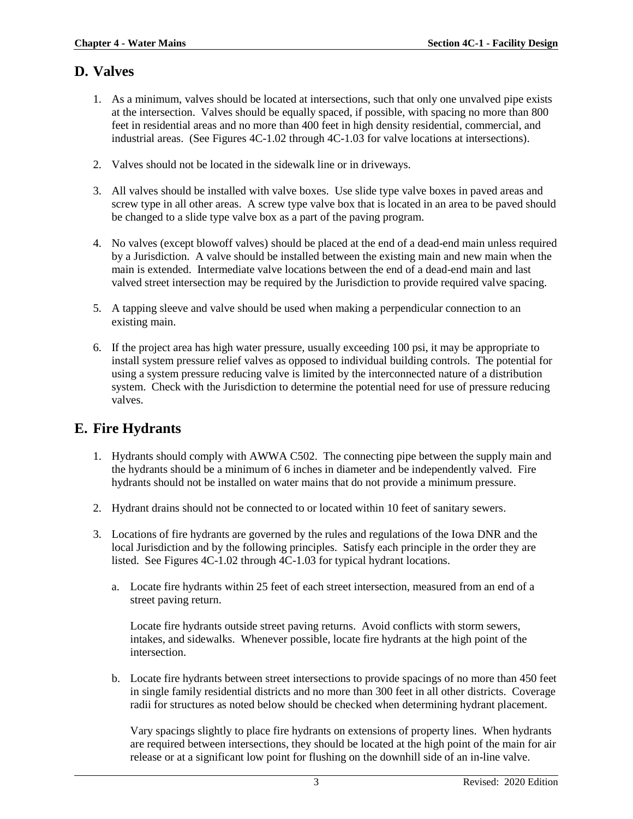#### **D. Valves**

- 1. As a minimum, valves should be located at intersections, such that only one unvalved pipe exists at the intersection. Valves should be equally spaced, if possible, with spacing no more than 800 feet in residential areas and no more than 400 feet in high density residential, commercial, and industrial areas. (See Figures 4C-1.02 through 4C-1.03 for valve locations at intersections).
- 2. Valves should not be located in the sidewalk line or in driveways.
- 3. All valves should be installed with valve boxes. Use slide type valve boxes in paved areas and screw type in all other areas. A screw type valve box that is located in an area to be paved should be changed to a slide type valve box as a part of the paving program.
- 4. No valves (except blowoff valves) should be placed at the end of a dead-end main unless required by a Jurisdiction. A valve should be installed between the existing main and new main when the main is extended. Intermediate valve locations between the end of a dead-end main and last valved street intersection may be required by the Jurisdiction to provide required valve spacing.
- 5. A tapping sleeve and valve should be used when making a perpendicular connection to an existing main.
- 6. If the project area has high water pressure, usually exceeding 100 psi, it may be appropriate to install system pressure relief valves as opposed to individual building controls. The potential for using a system pressure reducing valve is limited by the interconnected nature of a distribution system. Check with the Jurisdiction to determine the potential need for use of pressure reducing valves.

# **E. Fire Hydrants**

- 1. Hydrants should comply with AWWA C502. The connecting pipe between the supply main and the hydrants should be a minimum of 6 inches in diameter and be independently valved. Fire hydrants should not be installed on water mains that do not provide a minimum pressure.
- 2. Hydrant drains should not be connected to or located within 10 feet of sanitary sewers.
- 3. Locations of fire hydrants are governed by the rules and regulations of the Iowa DNR and the local Jurisdiction and by the following principles. Satisfy each principle in the order they are listed. See Figures 4C-1.02 through 4C-1.03 for typical hydrant locations.
	- a. Locate fire hydrants within 25 feet of each street intersection, measured from an end of a street paving return.

Locate fire hydrants outside street paving returns. Avoid conflicts with storm sewers, intakes, and sidewalks. Whenever possible, locate fire hydrants at the high point of the intersection.

b. Locate fire hydrants between street intersections to provide spacings of no more than 450 feet in single family residential districts and no more than 300 feet in all other districts. Coverage radii for structures as noted below should be checked when determining hydrant placement.

Vary spacings slightly to place fire hydrants on extensions of property lines. When hydrants are required between intersections, they should be located at the high point of the main for air release or at a significant low point for flushing on the downhill side of an in-line valve.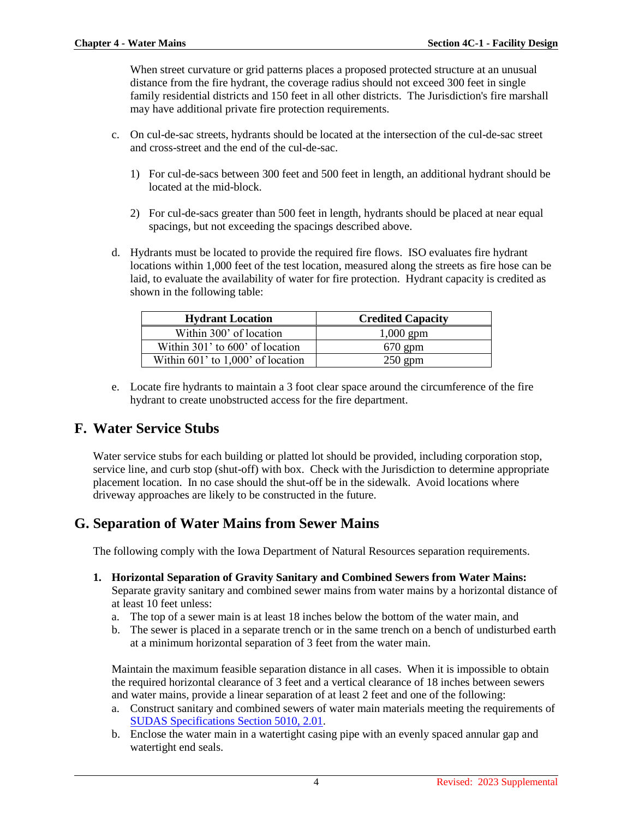When street curvature or grid patterns places a proposed protected structure at an unusual distance from the fire hydrant, the coverage radius should not exceed 300 feet in single family residential districts and 150 feet in all other districts. The Jurisdiction's fire marshall may have additional private fire protection requirements.

- c. On cul-de-sac streets, hydrants should be located at the intersection of the cul-de-sac street and cross-street and the end of the cul-de-sac.
	- 1) For cul-de-sacs between 300 feet and 500 feet in length, an additional hydrant should be located at the mid-block.
	- 2) For cul-de-sacs greater than 500 feet in length, hydrants should be placed at near equal spacings, but not exceeding the spacings described above.
- d. Hydrants must be located to provide the required fire flows. ISO evaluates fire hydrant locations within 1,000 feet of the test location, measured along the streets as fire hose can be laid, to evaluate the availability of water for fire protection. Hydrant capacity is credited as shown in the following table:

| <b>Hydrant Location</b>           | <b>Credited Capacity</b> |  |  |
|-----------------------------------|--------------------------|--|--|
| Within 300' of location           | $1,000$ gpm              |  |  |
| Within 301' to 600' of location   | $670$ gpm                |  |  |
| Within 601' to 1,000' of location | $250$ gpm                |  |  |

e. Locate fire hydrants to maintain a 3 foot clear space around the circumference of the fire hydrant to create unobstructed access for the fire department.

#### **F. Water Service Stubs**

Water service stubs for each building or platted lot should be provided, including corporation stop, service line, and curb stop (shut-off) with box. Check with the Jurisdiction to determine appropriate placement location. In no case should the shut-off be in the sidewalk. Avoid locations where driveway approaches are likely to be constructed in the future.

#### **G. Separation of Water Mains from Sewer Mains**

The following comply with the Iowa Department of Natural Resources separation requirements.

- **1. Horizontal Separation of Gravity Sanitary and Combined Sewers from Water Mains:** Separate gravity sanitary and combined sewer mains from water mains by a horizontal distance of at least 10 feet unless:
	- a. The top of a sewer main is at least 18 inches below the bottom of the water main, and
	- b. The sewer is placed in a separate trench or in the same trench on a bench of undisturbed earth at a minimum horizontal separation of 3 feet from the water main.

Maintain the maximum feasible separation distance in all cases. When it is impossible to obtain the required horizontal clearance of 3 feet and a vertical clearance of 18 inches between sewers and water mains, provide a linear separation of at least 2 feet and one of the following:

- a. Construct sanitary and combined sewers of water main materials meeting the requirements of [SUDAS Specifications Section 5010, 2.01.](https://intrans.iastate.edu/app/uploads/sites/15/2020/02/5010.pdf#page=5)
- b. Enclose the water main in a watertight casing pipe with an evenly spaced annular gap and watertight end seals.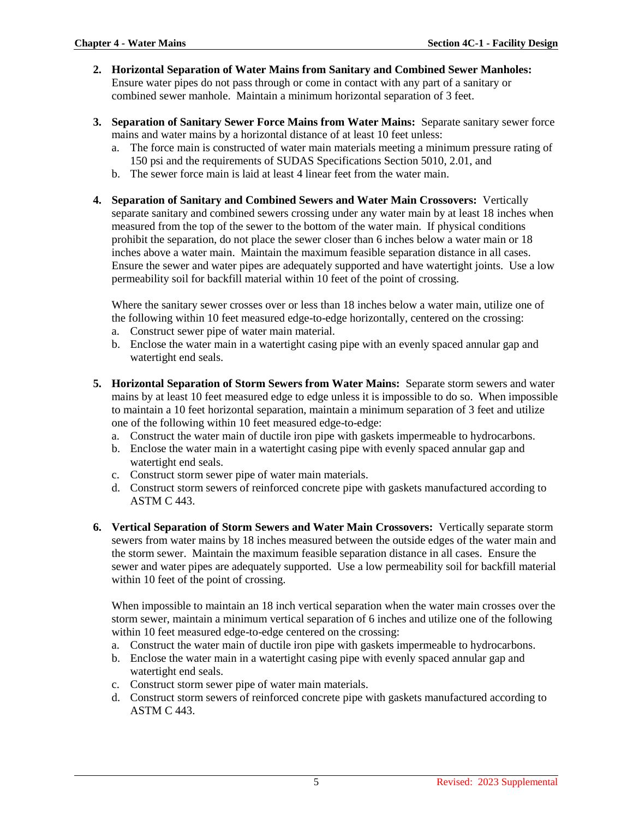- **2. Horizontal Separation of Water Mains from Sanitary and Combined Sewer Manholes:** Ensure water pipes do not pass through or come in contact with any part of a sanitary or combined sewer manhole. Maintain a minimum horizontal separation of 3 feet.
- **3. Separation of Sanitary Sewer Force Mains from Water Mains:** Separate sanitary sewer force mains and water mains by a horizontal distance of at least 10 feet unless:
	- a. The force main is constructed of water main materials meeting a minimum pressure rating of
	- 150 psi and the requirements of SUDAS Specifications Section 5010, 2.01, and
	- b. The sewer force main is laid at least 4 linear feet from the water main.
- **4. Separation of Sanitary and Combined Sewers and Water Main Crossovers:** Vertically separate sanitary and combined sewers crossing under any water main by at least 18 inches when measured from the top of the sewer to the bottom of the water main. If physical conditions prohibit the separation, do not place the sewer closer than 6 inches below a water main or 18 inches above a water main. Maintain the maximum feasible separation distance in all cases. Ensure the sewer and water pipes are adequately supported and have watertight joints. Use a low permeability soil for backfill material within 10 feet of the point of crossing.

Where the sanitary sewer crosses over or less than 18 inches below a water main, utilize one of the following within 10 feet measured edge-to-edge horizontally, centered on the crossing:

- a. Construct sewer pipe of water main material.
- b. Enclose the water main in a watertight casing pipe with an evenly spaced annular gap and watertight end seals.
- **5. Horizontal Separation of Storm Sewers from Water Mains:** Separate storm sewers and water mains by at least 10 feet measured edge to edge unless it is impossible to do so. When impossible to maintain a 10 feet horizontal separation, maintain a minimum separation of 3 feet and utilize one of the following within 10 feet measured edge-to-edge:
	- a. Construct the water main of ductile iron pipe with gaskets impermeable to hydrocarbons.
	- b. Enclose the water main in a watertight casing pipe with evenly spaced annular gap and watertight end seals.
	- c. Construct storm sewer pipe of water main materials.
	- d. Construct storm sewers of reinforced concrete pipe with gaskets manufactured according to ASTM C 443.
- **6. Vertical Separation of Storm Sewers and Water Main Crossovers:** Vertically separate storm sewers from water mains by 18 inches measured between the outside edges of the water main and the storm sewer. Maintain the maximum feasible separation distance in all cases. Ensure the sewer and water pipes are adequately supported. Use a low permeability soil for backfill material within 10 feet of the point of crossing.

When impossible to maintain an 18 inch vertical separation when the water main crosses over the storm sewer, maintain a minimum vertical separation of 6 inches and utilize one of the following within 10 feet measured edge-to-edge centered on the crossing:

- a. Construct the water main of ductile iron pipe with gaskets impermeable to hydrocarbons.
- b. Enclose the water main in a watertight casing pipe with evenly spaced annular gap and watertight end seals.
- c. Construct storm sewer pipe of water main materials.
- d. Construct storm sewers of reinforced concrete pipe with gaskets manufactured according to ASTM C 443.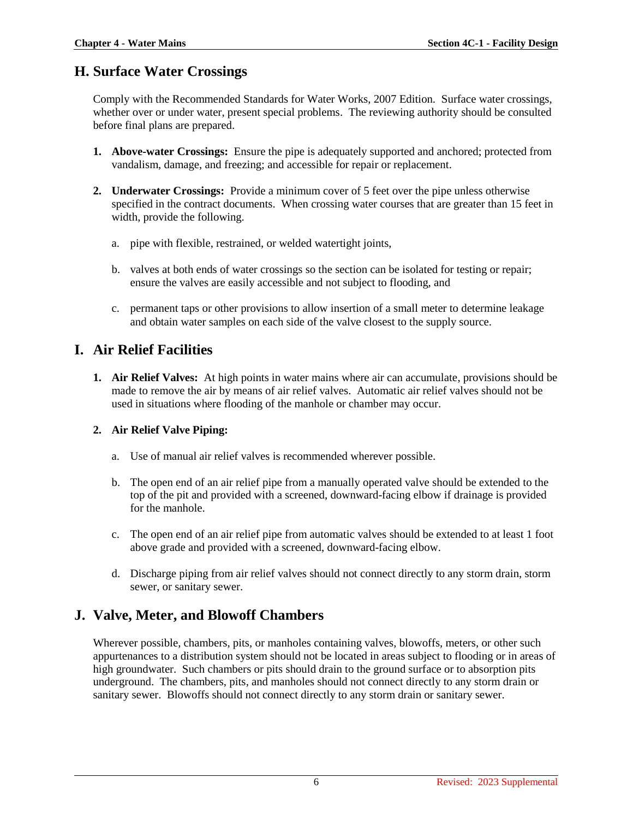#### **H. Surface Water Crossings**

Comply with the Recommended Standards for Water Works, 2007 Edition. Surface water crossings, whether over or under water, present special problems. The reviewing authority should be consulted before final plans are prepared.

- **1. Above-water Crossings:** Ensure the pipe is adequately supported and anchored; protected from vandalism, damage, and freezing; and accessible for repair or replacement.
- **2. Underwater Crossings:** Provide a minimum cover of 5 feet over the pipe unless otherwise specified in the contract documents. When crossing water courses that are greater than 15 feet in width, provide the following.
	- a. pipe with flexible, restrained, or welded watertight joints,
	- b. valves at both ends of water crossings so the section can be isolated for testing or repair; ensure the valves are easily accessible and not subject to flooding, and
	- c. permanent taps or other provisions to allow insertion of a small meter to determine leakage and obtain water samples on each side of the valve closest to the supply source.

# **I. Air Relief Facilities**

**1. Air Relief Valves:** At high points in water mains where air can accumulate, provisions should be made to remove the air by means of air relief valves. Automatic air relief valves should not be used in situations where flooding of the manhole or chamber may occur.

#### **2. Air Relief Valve Piping:**

- a. Use of manual air relief valves is recommended wherever possible.
- b. The open end of an air relief pipe from a manually operated valve should be extended to the top of the pit and provided with a screened, downward-facing elbow if drainage is provided for the manhole.
- c. The open end of an air relief pipe from automatic valves should be extended to at least 1 foot above grade and provided with a screened, downward-facing elbow.
- d. Discharge piping from air relief valves should not connect directly to any storm drain, storm sewer, or sanitary sewer.

## **J. Valve, Meter, and Blowoff Chambers**

Wherever possible, chambers, pits, or manholes containing valves, blowoffs, meters, or other such appurtenances to a distribution system should not be located in areas subject to flooding or in areas of high groundwater. Such chambers or pits should drain to the ground surface or to absorption pits underground. The chambers, pits, and manholes should not connect directly to any storm drain or sanitary sewer. Blowoffs should not connect directly to any storm drain or sanitary sewer.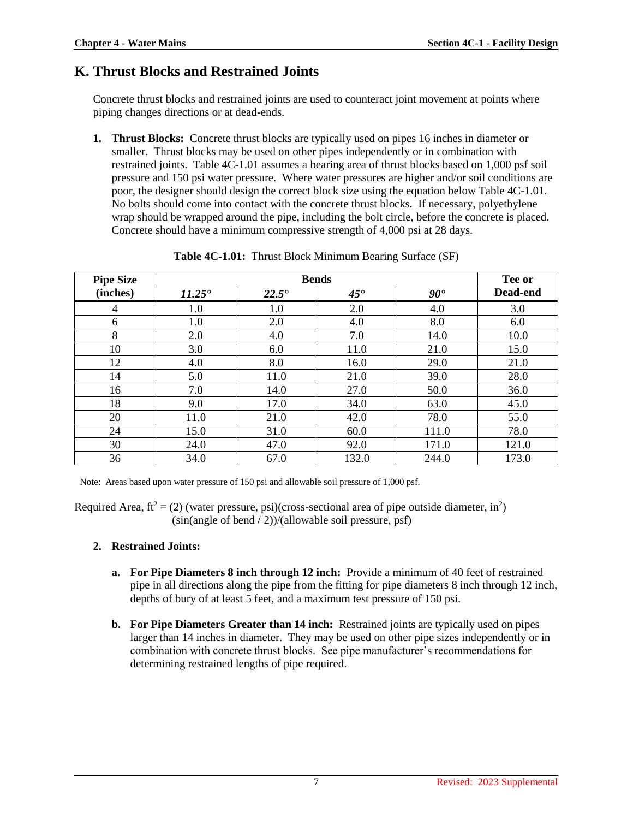## **K. Thrust Blocks and Restrained Joints**

Concrete thrust blocks and restrained joints are used to counteract joint movement at points where piping changes directions or at dead-ends.

**1. Thrust Blocks:** Concrete thrust blocks are typically used on pipes 16 inches in diameter or smaller. Thrust blocks may be used on other pipes independently or in combination with restrained joints. Table 4C-1.01 assumes a bearing area of thrust blocks based on 1,000 psf soil pressure and 150 psi water pressure. Where water pressures are higher and/or soil conditions are poor, the designer should design the correct block size using the equation below Table 4C-1.01. No bolts should come into contact with the concrete thrust blocks. If necessary, polyethylene wrap should be wrapped around the pipe, including the bolt circle, before the concrete is placed. Concrete should have a minimum compressive strength of 4,000 psi at 28 days.

| <b>Pipe Size</b> | <b>Bends</b>    |                |              |              |          |
|------------------|-----------------|----------------|--------------|--------------|----------|
| (inches)         | $11.25^{\circ}$ | $22.5^{\circ}$ | $45^{\circ}$ | $90^{\circ}$ | Dead-end |
| 4                | 1.0             | 1.0            | 2.0          | 4.0          | 3.0      |
| 6                | 1.0             | 2.0            | 4.0          | 8.0          | 6.0      |
| 8                | 2.0             | 4.0            | 7.0          | 14.0         | 10.0     |
| 10               | 3.0             | 6.0            | 11.0         | 21.0         | 15.0     |
| 12               | 4.0             | 8.0            | 16.0         | 29.0         | 21.0     |
| 14               | 5.0             | 11.0           | 21.0         | 39.0         | 28.0     |
| 16               | 7.0             | 14.0           | 27.0         | 50.0         | 36.0     |
| 18               | 9.0             | 17.0           | 34.0         | 63.0         | 45.0     |
| 20               | 11.0            | 21.0           | 42.0         | 78.0         | 55.0     |
| 24               | 15.0            | 31.0           | 60.0         | 111.0        | 78.0     |
| 30               | 24.0            | 47.0           | 92.0         | 171.0        | 121.0    |
| 36               | 34.0            | 67.0           | 132.0        | 244.0        | 173.0    |

**Table 4C-1.01:** Thrust Block Minimum Bearing Surface (SF)

Note: Areas based upon water pressure of 150 psi and allowable soil pressure of 1,000 psf.

Required Area, ft<sup>2</sup> = (2) (water pressure, psi)(cross-sectional area of pipe outside diameter, in<sup>2</sup>)  $(\sin(\text{angle of bend}/2))/(\text{allowable soil pressure, psf})$ 

#### **2. Restrained Joints:**

- **a. For Pipe Diameters 8 inch through 12 inch:** Provide a minimum of 40 feet of restrained pipe in all directions along the pipe from the fitting for pipe diameters 8 inch through 12 inch, depths of bury of at least 5 feet, and a maximum test pressure of 150 psi.
- **b. For Pipe Diameters Greater than 14 inch:** Restrained joints are typically used on pipes larger than 14 inches in diameter. They may be used on other pipe sizes independently or in combination with concrete thrust blocks. See pipe manufacturer's recommendations for determining restrained lengths of pipe required.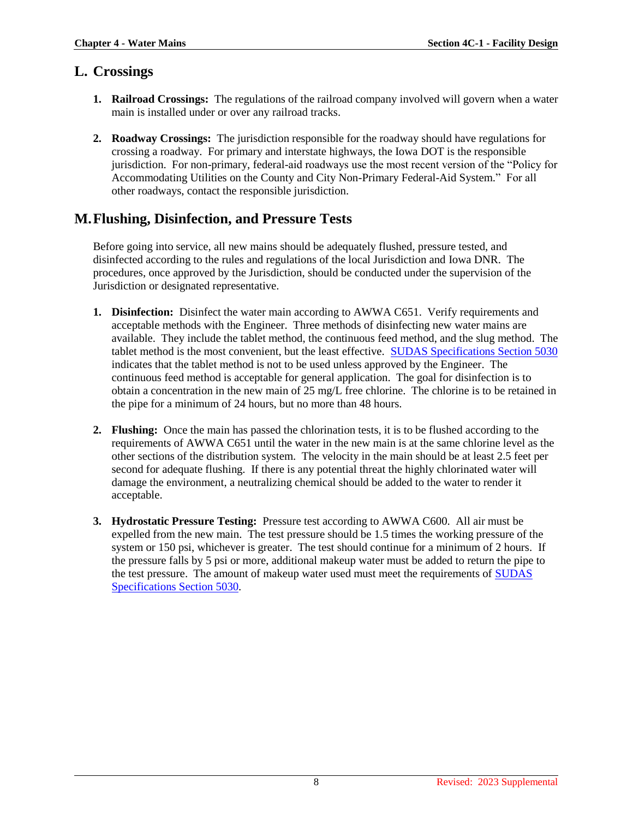#### **L. Crossings**

- **1. Railroad Crossings:** The regulations of the railroad company involved will govern when a water main is installed under or over any railroad tracks.
- **2. Roadway Crossings:** The jurisdiction responsible for the roadway should have regulations for crossing a roadway. For primary and interstate highways, the Iowa DOT is the responsible jurisdiction. For non-primary, federal-aid roadways use the most recent version of the "Policy for Accommodating Utilities on the County and City Non-Primary Federal-Aid System." For all other roadways, contact the responsible jurisdiction.

## **M.Flushing, Disinfection, and Pressure Tests**

Before going into service, all new mains should be adequately flushed, pressure tested, and disinfected according to the rules and regulations of the local Jurisdiction and Iowa DNR. The procedures, once approved by the Jurisdiction, should be conducted under the supervision of the Jurisdiction or designated representative.

- **1. Disinfection:** Disinfect the water main according to AWWA C651. Verify requirements and acceptable methods with the Engineer. Three methods of disinfecting new water mains are available. They include the tablet method, the continuous feed method, and the slug method. The tablet method is the most convenient, but the least effective. [SUDAS Specifications Section 5030](https://intrans.iastate.edu/app/uploads/sites/15/2020/02/5030.pdf) indicates that the tablet method is not to be used unless approved by the Engineer. The continuous feed method is acceptable for general application. The goal for disinfection is to obtain a concentration in the new main of 25 mg/L free chlorine. The chlorine is to be retained in the pipe for a minimum of 24 hours, but no more than 48 hours.
- **2. Flushing:** Once the main has passed the chlorination tests, it is to be flushed according to the requirements of AWWA C651 until the water in the new main is at the same chlorine level as the other sections of the distribution system. The velocity in the main should be at least 2.5 feet per second for adequate flushing. If there is any potential threat the highly chlorinated water will damage the environment, a neutralizing chemical should be added to the water to render it acceptable.
- **3. Hydrostatic Pressure Testing:** Pressure test according to AWWA C600. All air must be expelled from the new main. The test pressure should be 1.5 times the working pressure of the system or 150 psi, whichever is greater. The test should continue for a minimum of 2 hours. If the pressure falls by 5 psi or more, additional makeup water must be added to return the pipe to the test pressure. The amount of makeup water used must meet the requirements of **SUDAS** [Specifications Section 5030.](https://intrans.iastate.edu/app/uploads/sites/15/2020/02/5030.pdf)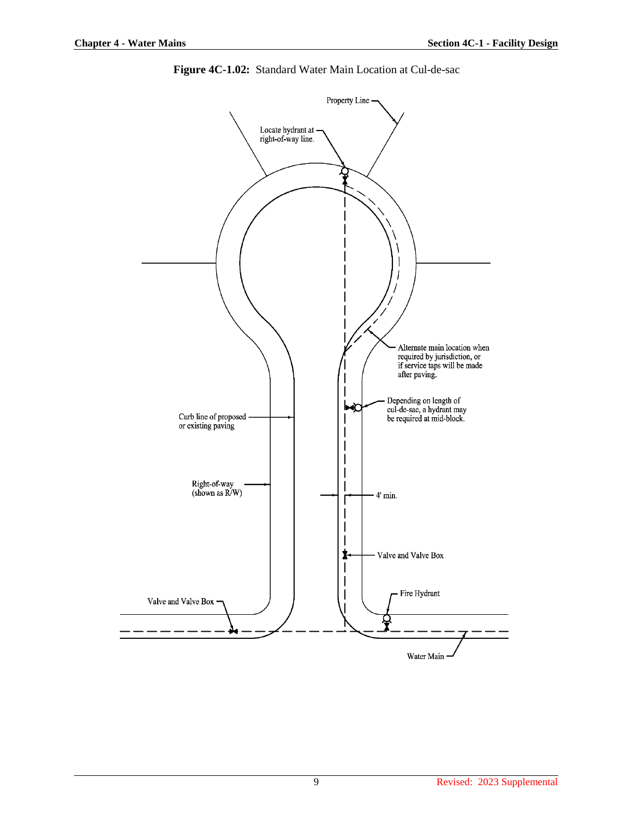

**Figure 4C-1.02:** Standard Water Main Location at Cul-de-sac